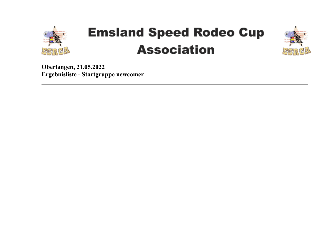

# **Emsland Speed Rodeo Cup Association**



**Oberlangen, 21.05.2022 Ergebnisliste - Startgruppe newcomer**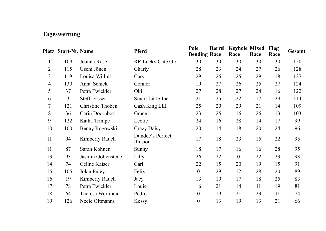## **Tageswertung**

|    | Platz Start-Nr. Name |                    | <b>Pferd</b>                 | Pole<br><b>Bending Race</b> | <b>Barrel</b> | <b>Keyhole Mixed</b><br>Race | Race | Flag<br>Race | Gesamt |
|----|----------------------|--------------------|------------------------------|-----------------------------|---------------|------------------------------|------|--------------|--------|
| 1  | 109                  | Joanna Rose        | RR Lucky Cute Girl           | 30                          | 30            | 30                           | 30   | 30           | 150    |
| 2  | 115                  | Uschi Jönen        | Charly                       | 28                          | 23            | 24                           | 27   | 26           | 128    |
| 3  | 119                  | Louisa Willms      | Cary                         | 29                          | 26            | 25                           | 29   | 18           | 127    |
| 4  | 130                  | Anna Schick        | Connor                       | 19                          | 27            | 26                           | 25   | 27           | 124    |
| 5  | 37                   | Petra Twickler     | Oki                          | 27                          | 28            | 27                           | 24   | 16           | 122    |
| 6  | 3                    | Steffi Fisser      | <b>Smart Little Joe</b>      | 21                          | 25            | 22                           | 17   | 29           | 114    |
| 7  | 121                  | Christine Thoben   | Cash King LLI                | 25                          | 20            | 29                           | 21   | 14           | 109    |
| 8  | 36                   | Carin Doornbos     | Grace                        | 23                          | 25            | 16                           | 26   | 13           | 103    |
| 9  | 122                  | Katha Trimpe       | Leotie                       | 24                          | 16            | 28                           | 14   | 17           | 99     |
| 10 | 100                  | Benny Rogowski     | Crazy Daisy                  | 20                          | 14            | 18                           | 20   | 24           | 96     |
| 11 | 94                   | Kimberly Rauch     | Dundee's Perfect<br>Illusion | 17                          | 18            | 23                           | 15   | 22           | 95     |
| 11 | 87                   | Sarah Kohnen       | Sunny                        | 18                          | 17            | 16                           | 16   | 28           | 95     |
| 13 | 93                   | Jasmin Gollenstede | Lilly                        | 26                          | 22            | $\theta$                     | 22   | 23           | 93     |
| 14 | 74                   | Celine Kaiser      | Carl                         | 22                          | 15            | 20                           | 19   | 15           | 91     |
| 15 | 105                  | Jolan Puley        | Felix                        | $\boldsymbol{0}$            | 29            | 12                           | 28   | 20           | 89     |
| 16 | 19                   | Kimberly Rauch     | Jacy                         | 13                          | 10            | 17                           | 18   | 25           | 83     |
| 17 | 78                   | Petra Twickler     | Louie                        | 16                          | 21            | 14                           | 11   | 19           | 81     |
| 18 | 64                   | Theresa Wortmeier  | Pedro                        | 0                           | 19            | 21                           | 23   | 11           | 74     |
| 19 | 126                  | Neele Oltmanns     | Kessy                        | $\boldsymbol{0}$            | 13            | 19                           | 13   | 21           | 66     |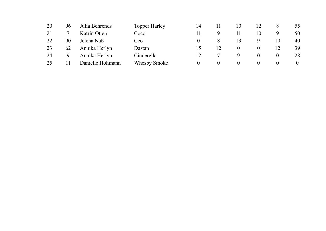| 20 | 96 | Julia Behrends   | <b>Topper Harley</b> | 14 |          | 10 |    |    | 55       |
|----|----|------------------|----------------------|----|----------|----|----|----|----------|
| 21 |    | Katrin Otten     | Coco                 |    |          |    | 10 |    | 50       |
| 22 | 90 | Jelena Naß       | Ceo                  |    |          | 13 |    | 10 | 40       |
| 23 | 62 | Annika Herlyn    | Dastan               |    | 12       |    |    | 12 | 39       |
| 24 | 9  | Annika Herlyn    | Cinderella           |    |          |    |    |    | 28       |
| 25 |    | Danielle Hohmann | Whesby Smoke         |    | $^{(1)}$ | U  | O  | O  | $\theta$ |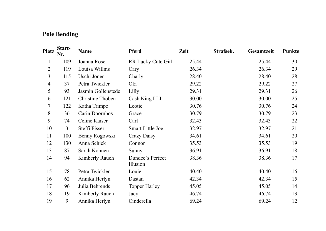## **Pole Bending**

| <b>Platz</b>             | Start-<br>Nr. | <b>Name</b>        | Pferd                        | Zeit  | Strafsek. | Gesamtzeit | Punkte |
|--------------------------|---------------|--------------------|------------------------------|-------|-----------|------------|--------|
| 1                        | 109           | Joanna Rose        | RR Lucky Cute Girl           | 25.44 |           | 25.44      | 30     |
| 2                        | 119           | Louisa Willms      | Cary                         | 26.34 |           | 26.34      | 29     |
| 3                        | 115           | Uschi Jönen        | Charly                       | 28.40 |           | 28.40      | 28     |
| $\overline{\mathcal{A}}$ | 37            | Petra Twickler     | Oki                          | 29.22 |           | 29.22      | 27     |
| 5                        | 93            | Jasmin Gollenstede | Lilly                        | 29.31 |           | 29.31      | 26     |
| 6                        | 121           | Christine Thoben   | Cash King LLI                | 30.00 |           | 30.00      | 25     |
| 7                        | 122           | Katha Trimpe       | Leotie                       | 30.76 |           | 30.76      | 24     |
| 8                        | 36            | Carin Doornbos     | Grace                        | 30.79 |           | 30.79      | 23     |
| 9                        | 74            | Celine Kaiser      | Carl                         | 32.43 |           | 32.43      | 22     |
| 10                       | 3             | Steffi Fisser      | <b>Smart Little Joe</b>      | 32.97 |           | 32.97      | 21     |
| 11                       | 100           | Benny Rogowski     | Crazy Daisy                  | 34.61 |           | 34.61      | 20     |
| 12                       | 130           | Anna Schick        | Connor                       | 35.53 |           | 35.53      | 19     |
| 13                       | 87            | Sarah Kohnen       | Sunny                        | 36.91 |           | 36.91      | 18     |
| 14                       | 94            | Kimberly Rauch     | Dundee's Perfect<br>Illusion | 38.36 |           | 38.36      | 17     |
| 15                       | 78            | Petra Twickler     | Louie                        | 40.40 |           | 40.40      | 16     |
| 16                       | 62            | Annika Herlyn      | Dastan                       | 42.34 |           | 42.34      | 15     |
| 17                       | 96            | Julia Behrends     | <b>Topper Harley</b>         | 45.05 |           | 45.05      | 14     |
| 18                       | 19            | Kimberly Rauch     | Jacy                         | 46.74 |           | 46.74      | 13     |
| 19                       | 9             | Annika Herlyn      | Cinderella                   | 69.24 |           | 69.24      | 12     |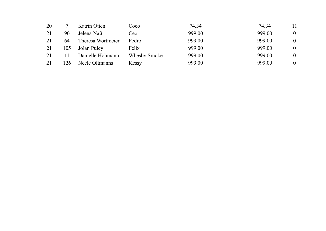| 20 |     | Katrin Otten      | Coco         | 74.34  | 74.34  | 11       |
|----|-----|-------------------|--------------|--------|--------|----------|
| 21 | 90  | Jelena Naß        | Ceo          | 999.00 | 999.00 | $\theta$ |
| 21 | 64  | Theresa Wortmeier | Pedro        | 999.00 | 999.00 | $\theta$ |
| 21 | 105 | Jolan Puley       | Felix        | 999.00 | 999.00 | $\theta$ |
| 21 |     | Danielle Hohmann  | Whesby Smoke | 999.00 | 999.00 | 0        |
| 21 | 26  | Neele Oltmanns    | Kessy        | 999.00 | 999.00 | 0        |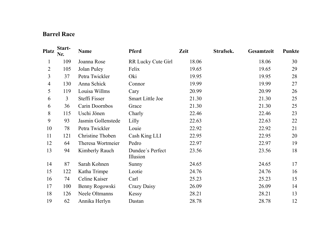### **Barrel Race**

| <b>Platz</b>   | Start-<br>Nr. | Name               | <b>Pferd</b>                 | Zeit  | Strafsek. | <b>Gesamtzeit</b> | Punkte |
|----------------|---------------|--------------------|------------------------------|-------|-----------|-------------------|--------|
| 1              | 109           | Joanna Rose        | RR Lucky Cute Girl           | 18.06 |           | 18.06             | 30     |
| 2              | 105           | Jolan Puley        | Felix                        | 19.65 |           | 19.65             | 29     |
| 3              | 37            | Petra Twickler     | Oki                          | 19.95 |           | 19.95             | 28     |
| $\overline{4}$ | 130           | Anna Schick        | Connor                       | 19.99 |           | 19.99             | 27     |
| 5              | 119           | Louisa Willms      | Cary                         | 20.99 |           | 20.99             | 26     |
| 6              | 3             | Steffi Fisser      | Smart Little Joe             | 21.30 |           | 21.30             | 25     |
| 6              | 36            | Carin Doornbos     | Grace                        | 21.30 |           | 21.30             | 25     |
| 8              | 115           | Uschi Jönen        | Charly                       | 22.46 |           | 22.46             | 23     |
| 9              | 93            | Jasmin Gollenstede | Lilly                        | 22.63 |           | 22.63             | 22     |
| 10             | 78            | Petra Twickler     | Louie                        | 22.92 |           | 22.92             | 21     |
| 11             | 121           | Christine Thoben   | Cash King LLI                | 22.95 |           | 22.95             | 20     |
| 12             | 64            | Theresa Wortmeier  | Pedro                        | 22.97 |           | 22.97             | 19     |
| 13             | 94            | Kimberly Rauch     | Dundee's Perfect<br>Illusion | 23.56 |           | 23.56             | 18     |
| 14             | 87            | Sarah Kohnen       | Sunny                        | 24.65 |           | 24.65             | 17     |
| 15             | 122           | Katha Trimpe       | Leotie                       | 24.76 |           | 24.76             | 16     |
| 16             | 74            | Celine Kaiser      | Carl                         | 25.23 |           | 25.23             | 15     |
| 17             | 100           | Benny Rogowski     | Crazy Daisy                  | 26.09 |           | 26.09             | 14     |
| 18             | 126           | Neele Oltmanns     | Kessy                        | 28.21 |           | 28.21             | 13     |
| 19             | 62            | Annika Herlyn      | Dastan                       | 28.78 |           | 28.78             | 12     |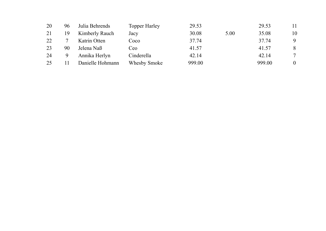| 20 | 96 | Julia Behrends   | <b>Topper Harley</b> | 29.53  |      | 29.53  | 11       |
|----|----|------------------|----------------------|--------|------|--------|----------|
| 21 | 19 | Kimberly Rauch   | Jacy                 | 30.08  | 5.00 | 35.08  | 10       |
| 22 |    | Katrin Otten     | Coco                 | 37.74  |      | 37.74  | 9        |
| 23 | 90 | Jelena Naß       | Ceo                  | 41.57  |      | 41.57  | 8        |
| 24 | 9  | Annika Herlyn    | Cinderella           | 42.14  |      | 42.14  | 7        |
| 25 |    | Danielle Hohmann | Whesby Smoke         | 999.00 |      | 999.00 | $\theta$ |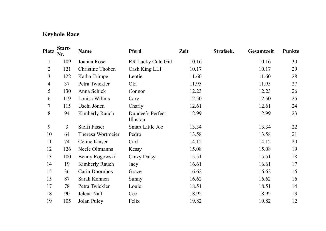## **Keyhole Race**

| Platz          | Start-<br>Nr. | Name              | Pferd                        | Zeit  | Strafsek. | <b>Gesamtzeit</b> | Punkte |
|----------------|---------------|-------------------|------------------------------|-------|-----------|-------------------|--------|
| 1              | 109           | Joanna Rose       | RR Lucky Cute Girl           | 10.16 |           | 10.16             | 30     |
| 2              | 121           | Christine Thoben  | Cash King LLI                | 10.17 |           | 10.17             | 29     |
| 3              | 122           | Katha Trimpe      | Leotie                       | 11.60 |           | 11.60             | 28     |
| $\overline{4}$ | 37            | Petra Twickler    | Oki                          | 11.95 |           | 11.95             | 27     |
| 5              | 130           | Anna Schick       | Connor                       | 12.23 |           | 12.23             | 26     |
| 6              | 119           | Louisa Willms     | Cary                         | 12.50 |           | 12.50             | 25     |
| 7              | 115           | Uschi Jönen       | Charly                       | 12.61 |           | 12.61             | 24     |
| 8              | 94            | Kimberly Rauch    | Dundee's Perfect<br>Illusion | 12.99 |           | 12.99             | 23     |
| 9              | 3             | Steffi Fisser     | <b>Smart Little Joe</b>      | 13.34 |           | 13.34             | 22     |
| 10             | 64            | Theresa Wortmeier | Pedro                        | 13.58 |           | 13.58             | 21     |
| 11             | 74            | Celine Kaiser     | Carl                         | 14.12 |           | 14.12             | 20     |
| 12             | 126           | Neele Oltmanns    | Kessy                        | 15.08 |           | 15.08             | 19     |
| 13             | 100           | Benny Rogowski    | Crazy Daisy                  | 15.51 |           | 15.51             | 18     |
| 14             | 19            | Kimberly Rauch    | Jacy                         | 16.61 |           | 16.61             | 17     |
| 15             | 36            | Carin Doornbos    | Grace                        | 16.62 |           | 16.62             | 16     |
| 15             | 87            | Sarah Kohnen      | Sunny                        | 16.62 |           | 16.62             | 16     |
| 17             | 78            | Petra Twickler    | Louie                        | 18.51 |           | 18.51             | 14     |
| 18             | 90            | Jelena Naß        | Ceo                          | 18.92 |           | 18.92             | 13     |
| 19             | 105           | Jolan Puley       | Felix                        | 19.82 |           | 19.82             | 12     |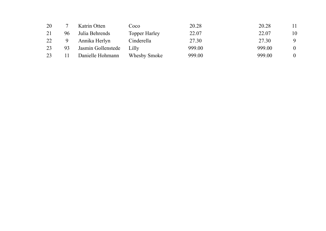| 20 |    | Katrin Otten       | Coco                 | 20.28  | 20.28  | 11       |
|----|----|--------------------|----------------------|--------|--------|----------|
| 21 | 96 | Julia Behrends     | <b>Topper Harley</b> | 22.07  | 22.07  | 10       |
| 22 | 9  | Annika Herlyn      | Cinderella           | 27.30  | 27.30  | 9        |
| 23 | 93 | Jasmin Gollenstede | Lilly                | 999.00 | 999.00 | $\theta$ |
| 23 |    | Danielle Hohmann   | Whesby Smoke         | 999.00 | 999.00 | $\theta$ |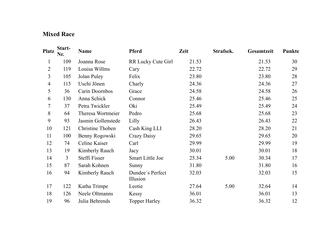### **Mixed Race**

| <b>Platz</b>   | Start-<br>Nr. | Name               | <b>Pferd</b>                 | Zeit  | Strafsek. | <b>Gesamtzeit</b> | Punkte |
|----------------|---------------|--------------------|------------------------------|-------|-----------|-------------------|--------|
| 1              | 109           | Joanna Rose        | RR Lucky Cute Girl           | 21.53 |           | 21.53             | 30     |
| 2              | 119           | Louisa Willms      | Cary                         | 22.72 |           | 22.72             | 29     |
| 3              | 105           | Jolan Puley        | Felix                        | 23.80 |           | 23.80             | 28     |
| $\overline{4}$ | 115           | Uschi Jönen        | Charly                       | 24.36 |           | 24.36             | 27     |
| 5              | 36            | Carin Doornbos     | Grace                        | 24.58 |           | 24.58             | 26     |
| 6              | 130           | Anna Schick        | Connor                       | 25.46 |           | 25.46             | 25     |
| $\overline{7}$ | 37            | Petra Twickler     | Oki                          | 25.49 |           | 25.49             | 24     |
| 8              | 64            | Theresa Wortmeier  | Pedro                        | 25.68 |           | 25.68             | 23     |
| 9              | 93            | Jasmin Gollenstede | Lilly                        | 26.43 |           | 26.43             | 22     |
| 10             | 121           | Christine Thoben   | Cash King LLI                | 28.20 |           | 28.20             | 21     |
| 11             | 100           | Benny Rogowski     | Crazy Daisy                  | 29.65 |           | 29.65             | 20     |
| 12             | 74            | Celine Kaiser      | Carl                         | 29.99 |           | 29.99             | 19     |
| 13             | 19            | Kimberly Rauch     | Jacy                         | 30.01 |           | 30.01             | 18     |
| 14             | 3             | Steffi Fisser      | <b>Smart Little Joe</b>      | 25.34 | 5.00      | 30.34             | 17     |
| 15             | 87            | Sarah Kohnen       | Sunny                        | 31.80 |           | 31.80             | 16     |
| 16             | 94            | Kimberly Rauch     | Dundee's Perfect<br>Illusion | 32.03 |           | 32.03             | 15     |
| 17             | 122           | Katha Trimpe       | Leotie                       | 27.64 | 5.00      | 32.64             | 14     |
| 18             | 126           | Neele Oltmanns     | Kessy                        | 36.01 |           | 36.01             | 13     |
| 19             | 96            | Julia Behrends     | <b>Topper Harley</b>         | 36.32 |           | 36.32             | 12     |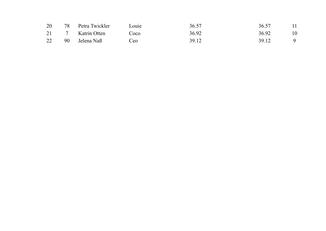|  | 20 78 Petra Twickler | Louie | 36.57 | 36.57                   | - 11 |
|--|----------------------|-------|-------|-------------------------|------|
|  | 21 7 Katrin Otten    | Coco  | 36.92 | 36.92                   | - 10 |
|  | 22 90 Jelena Naß     | Ceo   | 39.12 | 39.12<br>$\overline{q}$ |      |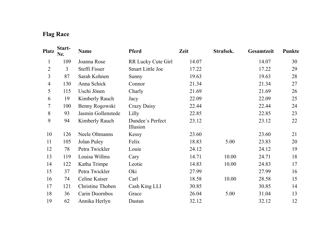## **Flag Race**

| <b>Platz</b>   | Start-<br>Nr. | <b>Name</b>        | <b>Pferd</b>                 | Zeit  | Strafsek. | Gesamtzeit | Punkte |
|----------------|---------------|--------------------|------------------------------|-------|-----------|------------|--------|
| 1              | 109           | Joanna Rose        | RR Lucky Cute Girl           | 14.07 |           | 14.07      | 30     |
| $\overline{2}$ | 3             | Steffi Fisser      | <b>Smart Little Joe</b>      | 17.22 |           | 17.22      | 29     |
| 3              | 87            | Sarah Kohnen       | Sunny                        | 19.63 |           | 19.63      | 28     |
| 4              | 130           | Anna Schick        | Connor                       | 21.34 |           | 21.34      | 27     |
| 5              | 115           | Uschi Jönen        | Charly                       | 21.69 |           | 21.69      | 26     |
| 6              | 19            | Kimberly Rauch     | Jacy                         | 22.09 |           | 22.09      | 25     |
| 7              | 100           | Benny Rogowski     | Crazy Daisy                  | 22.44 |           | 22.44      | 24     |
| 8              | 93            | Jasmin Gollenstede | Lilly                        | 22.85 |           | 22.85      | 23     |
| 9              | 94            | Kimberly Rauch     | Dundee's Perfect<br>Illusion | 23.12 |           | 23.12      | 22     |
| 10             | 126           | Neele Oltmanns     | Kessy                        | 23.60 |           | 23.60      | 21     |
| 11             | 105           | Jolan Puley        | Felix                        | 18.83 | 5.00      | 23.83      | 20     |
| 12             | 78            | Petra Twickler     | Louie                        | 24.12 |           | 24.12      | 19     |
| 13             | 119           | Louisa Willms      | Cary                         | 14.71 | 10.00     | 24.71      | 18     |
| 14             | 122           | Katha Trimpe       | Leotie                       | 14.83 | 10.00     | 24.83      | 17     |
| 15             | 37            | Petra Twickler     | Oki                          | 27.99 |           | 27.99      | 16     |
| 16             | 74            | Celine Kaiser      | Carl                         | 18.58 | 10.00     | 28.58      | 15     |
| 17             | 121           | Christine Thoben   | Cash King LLI                | 30.85 |           | 30.85      | 14     |
| 18             | 36            | Carin Doornbos     | Grace                        | 26.04 | 5.00      | 31.04      | 13     |
| 19             | 62            | Annika Herlyn      | Dastan                       | 32.12 |           | 32.12      | 12     |